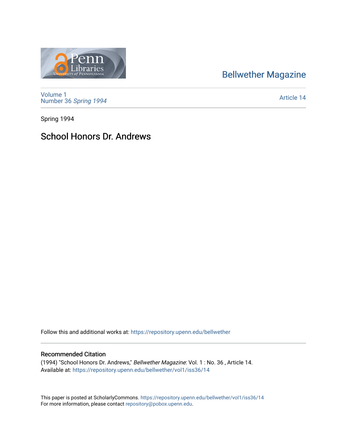# [Bellwether Magazine](https://repository.upenn.edu/bellwether)



[Volume 1](https://repository.upenn.edu/bellwether/vol1) [Number 36](https://repository.upenn.edu/bellwether/vol1/iss36) Spring 1994

[Article 14](https://repository.upenn.edu/bellwether/vol1/iss36/14) 

Spring 1994

### School Honors Dr. Andrews

Follow this and additional works at: [https://repository.upenn.edu/bellwether](https://repository.upenn.edu/bellwether?utm_source=repository.upenn.edu%2Fbellwether%2Fvol1%2Fiss36%2F14&utm_medium=PDF&utm_campaign=PDFCoverPages) 

### Recommended Citation

(1994) "School Honors Dr. Andrews," Bellwether Magazine: Vol. 1 : No. 36 , Article 14. Available at: [https://repository.upenn.edu/bellwether/vol1/iss36/14](https://repository.upenn.edu/bellwether/vol1/iss36/14?utm_source=repository.upenn.edu%2Fbellwether%2Fvol1%2Fiss36%2F14&utm_medium=PDF&utm_campaign=PDFCoverPages) 

This paper is posted at ScholarlyCommons.<https://repository.upenn.edu/bellwether/vol1/iss36/14> For more information, please contact [repository@pobox.upenn.edu.](mailto:repository@pobox.upenn.edu)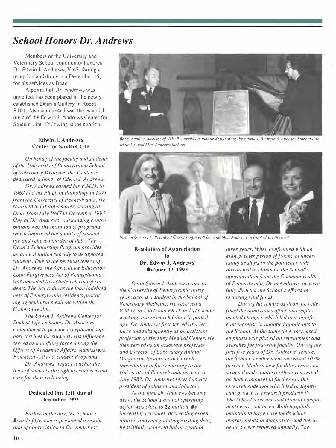# **School Honors Dr. Andrews**

Members of the University and Veterinary School community honored Dr. Edwin J. Andrews, V'67, during a reception and dinner on December 15. for his services as Dean.

A portrait of Dr. Andrews was unveiled, has been placed in the newly established Dean's Gallery in Room B101. Also announced was the establishment of the Edwin J. Andrews Center for Student Life. Following is the citation:

#### Edwin J. Andrews Center for Student Life

On hehalf of the faculty and students of the University of Pennsylvania School of Veterinary Medicine, this Center is dedicated in honor of Edwin J. Andrews. Dr. Andrews earned his V.M.D. in 1967 and his Ph.D. in Pathology in 1971 from the University of Pennsylvania, He returned to his alma mater, serving as Deanfrom July 1987 to December 1993. One of Dr. Andrews' outstanding contributions was the initiation of programs which improved the quality of student life and relieved burden of debt. The Dean's Scholarship Program provides an annual tuition subsidy to designated students. Due to the persuasiveness of Dr. Andrews, the Agriculture Education Loan Forgiveness Act of Pennsylvania was amended to include veterinary students. The Act reduces the loan indebted-

ness of Pennsylvania residents practicing agricultural medicine within the Commonwealth. The Edwin J. Andrews Center for

Student Life embodies Dr. Andrews' commitment to provide exceptional support services for students. His influence served as a unifying force among the Offices of Academic Affairs, Admissions, Financial Aid and Student Programs.

Dr. Andrews' legacy touches the lives of students through his concern and care for their well being.

### Dedicated this 15th day of December 1993.

Earlier in the day, the School's Board of Overseers presented a resolution of appreciation to Dr. Andrews:



Barry Stupme, director of VHUP, unveils the plaque designating the Edwin J. Andrews Center for Student Life while Dr. and Mrs. Andrews look on.



Interim University President Claire Fogin and Dr. and Mrs. Andrews in front of the portrait.

**Resolution of Appreciation** tη Dr. Edwin J. Andrews October 13, 1993

Dean Edwin J. Andrews came to the University of Pennsylvania thirty years ago as a student in the School of Veterinary Medicine. He received a V.M.D. in 1967, and Ph.D. in 1971 while working as a research fellow in pathology. Dr. Andrews first served as a lecturer and subsequently as an assistant professor at Hershey Medical Center. He then served as an associate professor and Director of Laboratory Animal Diagnostic Resources at Cornell. Immediately before returning to the University of Pennsylvania as dean in July 1987. Dr. Andrews served as vice president of Johnson and Johnson.

At the time Dr. Andrews became dean, the School's annual operating deficit was close to \$2 million. By increasing revenues, decreasing expenditures, and renegotiating existing debt, he skillfully achieved balance within

three years. When confronted with an even greater period of financial uncertainty as shifts in the political winds threatened to eliminate the School's appropriation from the Commonwealth of Pennsylvania, Dean Andrews successfully directed the School's efforts in restoring vital funds.

During his tenure as dean, he redefined the admissions office and implemented changes which led to a significant increase in qualified applicants to the School. At the same time, increased emphasis was placed on recruitment and searches for first-rate faculty. During the first five years of Dr. Andrews' tenure. the School's endowment increased 102% percent. Modern new facilities were constructed and countless others renovated on both campuses to further aid the research endeavor which led to significant growth in research productivity. The School's service and clinical components were enhanced. Both hospitals maintained large case loads while improvements in diagnostics and therapeutics were reported annually. The